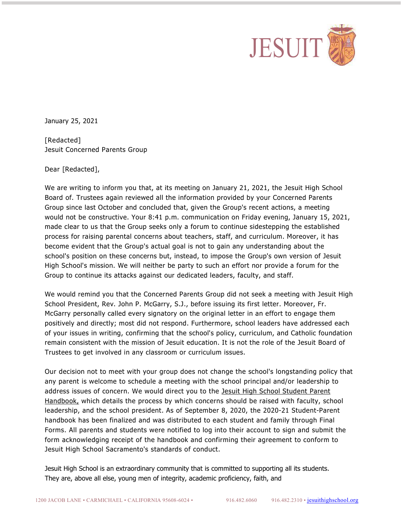

January 25, 2021

[Redacted] Jesuit Concerned Parents Group

Dear [Redacted],

We are writing to inform you that, at its meeting on January 21, 2021, the Jesuit High School Board of. Trustees again reviewed all the information provided by your Concerned Parents Group since last October and concluded that, given the Group's recent actions, a meeting would not be constructive. Your 8:41 p.m. communication on Friday evening, January 15, 2021, made clear to us that the Group seeks only a forum to continue sidestepping the established process for raising parental concerns about teachers, staff, and curriculum. Moreover, it has become evident that the Group's actual goal is not to gain any understanding about the school's position on these concerns but, instead, to impose the Group's own version of Jesuit High School's mission. We will neither be party to such an effort nor provide a forum for the Group to continue its attacks against our dedicated leaders, faculty, and staff.

We would remind you that the Concerned Parents Group did not seek a meeting with Jesuit High School President, Rev. John P. McGarry, S.J., before issuing its first letter. Moreover, Fr. McGarry personally called every signatory on the original letter in an effort to engage them positively and directly; most did not respond. Furthermore, school leaders have addressed each of your issues in writing, confirming that the school's policy, curriculum, and Catholic foundation remain consistent with the mission of Jesuit education. It is not the role of the Jesuit Board of Trustees to get involved in any classroom or curriculum issues.

Our decision not to meet with your group does not change the school's longstanding policy that any parent is welcome to schedule a meeting with the school principal and/or leadership to address issues of concern. We would direct you to the Jesuit High School Student Parent Handbook, which details the process by which concerns should be raised with faculty, school leadership, and the school president. As of September 8, 2020, the 2020-21 Student-Parent handbook has been finalized and was distributed to each student and family through Final Forms. All parents and students were notified to log into their account to sign and submit the form acknowledging receipt of the handbook and confirming their agreement to conform to Jesuit High School Sacramento's standards of conduct.

Jesuit High School is an extraordinary community that is committed to supporting all its students. They are, above all else, young men of integrity, academic proficiency, faith, and